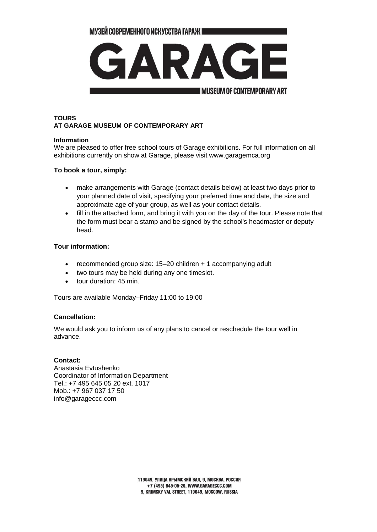МУЗЕЙ СОВРЕМЕННОГО ИСКУССТВА ГАРАЖ ■



# **TOURS AT GARAGE MUSEUM OF CONTEMPORARY ART**

#### **Information**

We are pleased to offer free school tours of Garage exhibitions. For full information on all exhibitions currently on show at Garage, please visit www.garagemca.org

### **To book a tour, simply:**

- make arrangements with Garage (contact details below) at least two days prior to your planned date of visit, specifying your preferred time and date, the size and approximate age of your group, as well as your contact details.
- fill in the attached form, and bring it with you on the day of the tour. Please note that the form must bear a stamp and be signed by the school's headmaster or deputy head.

### **Tour information:**

- recommended group size: 15–20 children + 1 accompanying adult
- two tours may be held during any one timeslot.
- tour duration: 45 min.

Tours are available Monday–Friday 11:00 to 19:00

## **Cancellation:**

We would ask you to inform us of any plans to cancel or reschedule the tour well in advance.

#### **Contact:**

Anastasia Evtushenko Coordinator of Information Department Tel.: +7 495 645 05 20 ext. 1017 Mob.: +7 967 037 17 50 [info@garageccc.com](mailto:info@garageccc.com)

> 119049. УЛИЦА КРЫМСКИЙ ВАЛ. 9. МОСКВА. РОССИЯ +7 (495) 645-05-20, WWW.GARAGECCC.COM 9. KRIMSKY VAL STREET, 119049, MOSCOW, RUSSIA